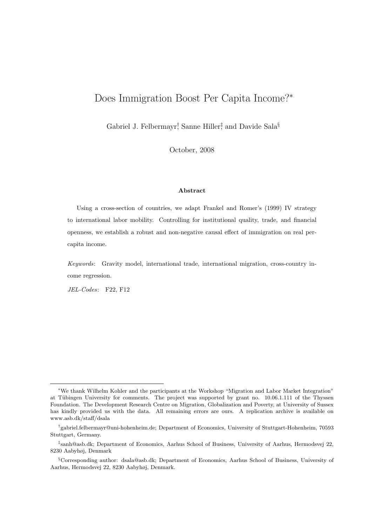# Does Immigration Boost Per Capita Income?<sup>∗</sup>

Gabriel J. Felbermayr<sup>†</sup>, Sanne Hiller<sup>‡</sup> and Davide Sala<sup>§</sup>

October, 2008

#### Abstract

Using a cross-section of countries, we adapt Frankel and Romer's (1999) IV strategy to international labor mobility. Controlling for institutional quality, trade, and financial openness, we establish a robust and non-negative causal effect of immigration on real percapita income.

Keywords: Gravity model, international trade, international migration, cross-country income regression.

JEL-Codes: F22, F12

<sup>∗</sup>We thank Wilhelm Kohler and the participants at the Workshop "Migration and Labor Market Integration" at Tübingen University for comments. The project was supported by grant no. 10.06.1.111 of the Thyssen Foundation. The Development Research Centre on Migration, Globalization and Poverty, at University of Sussex has kindly provided us with the data. All remaining errors are ours. A replication archive is available on www.asb.dk/staff/dsala

<sup>†</sup> gabriel.felbermayr@uni-hohenheim.de; Department of Economics, University of Stuttgart-Hohenheim, 70593 Stuttgart, Germany.

<sup>‡</sup> sanh@asb.dk; Department of Economics, Aarhus School of Business, University of Aarhus, Hermodsvej 22, 8230 Aabyhøj, Denmark

<sup>§</sup>Corresponding author: dsala@asb.dk; Department of Economics, Aarhus School of Business, University of Aarhus, Hermodsvej 22, 8230 Aabyhøj, Denmark.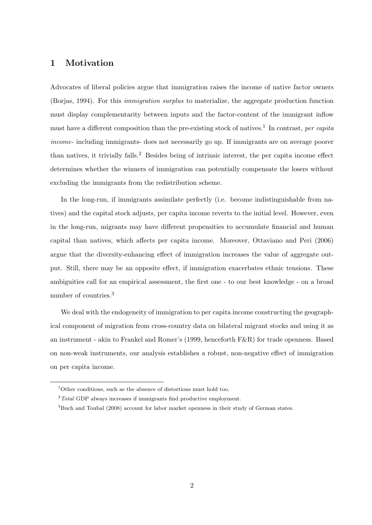# 1 Motivation

Advocates of liberal policies argue that immigration raises the income of native factor owners (Borjas, 1994). For this immigration surplus to materialize, the aggregate production function must display complementarity between inputs and the factor-content of the immigrant inflow must have a different composition than the pre-existing stock of natives.<sup>1</sup> In contrast, per capita income- including immigrants- does not necessarily go up. If immigrants are on average poorer than natives, it trivially falls.<sup>2</sup> Besides being of intrinsic interest, the per capita income effect determines whether the winners of immigration can potentially compensate the losers without excluding the immigrants from the redistribution scheme.

In the long-run, if immigrants assimilate perfectly (i.e. become indistinguishable from natives) and the capital stock adjusts, per capita income reverts to the initial level. However, even in the long-run, migrants may have different propensities to accumulate financial and human capital than natives, which affects per capita income. Moreover, Ottaviano and Peri (2006) argue that the diversity-enhancing effect of immigration increases the value of aggregate output. Still, there may be an opposite effect, if immigration exacerbates ethnic tensions. These ambiguities call for an empirical assessment, the first one - to our best knowledge - on a broad number of countries.<sup>3</sup>

We deal with the endogeneity of immigration to per capita income constructing the geographical component of migration from cross-country data on bilateral migrant stocks and using it as an instrument - akin to Frankel and Romer's (1999, henceforth F&R) for trade openness. Based on non-weak instruments, our analysis establishes a robust, non-negative effect of immigration on per capita income.

 $1$ Other conditions, such as the absence of distortions must hold too.

 $2$  Total GDP always increases if immigrants find productive employment.

<sup>&</sup>lt;sup>3</sup>Buch and Toubal (2008) account for labor market openness in their study of German states.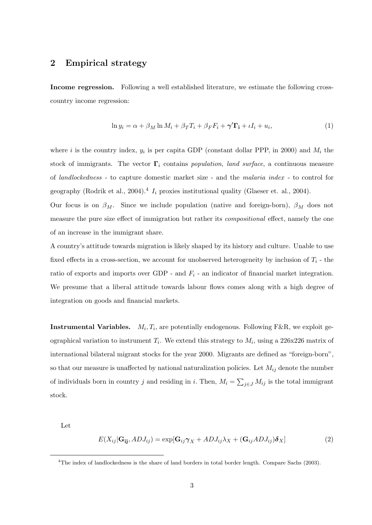### 2 Empirical strategy

Income regression. Following a well established literature, we estimate the following crosscountry income regression:

$$
\ln y_i = \alpha + \beta_M \ln M_i + \beta_T T_i + \beta_F F_i + \gamma' \Gamma_i + \iota I_i + u_i,\tag{1}
$$

where i is the country index,  $y_i$  is per capita GDP (constant dollar PPP, in 2000) and  $M_i$  the stock of immigrants. The vector  $\Gamma_i$  contains population, land surface, a continuous measure of landlockedness - to capture domestic market size - and the malaria index - to control for geography (Rodrik et al., 2004).<sup>4</sup>  $I_i$  proxies institutional quality (Glaeser et. al., 2004).

Our focus is on  $\beta_M$ . Since we include population (native and foreign-born),  $\beta_M$  does not measure the pure size effect of immigration but rather its *compositional* effect, namely the one of an increase in the immigrant share.

A country's attitude towards migration is likely shaped by its history and culture. Unable to use fixed effects in a cross-section, we account for unobserved heterogeneity by inclusion of  $T_i$  - the ratio of exports and imports over GDP - and  $F_i$  - an indicator of financial market integration. We presume that a liberal attitude towards labour flows comes along with a high degree of integration on goods and financial markets.

**Instrumental Variables.**  $M_i, T_i$ , are potentially endogenous. Following F&R, we exploit geographical variation to instrument  $T_i$ . We extend this strategy to  $M_i$ , using a 226x226 matrix of international bilateral migrant stocks for the year 2000. Migrants are defined as "foreign-born", so that our measure is unaffected by national naturalization policies. Let  $M_{ij}$  denote the number of individuals born in country j and residing in i. Then,  $M_i = \sum_{j \in J} M_{ij}$  is the total immigrant stock.

Let

$$
E(X_{ij}|\mathbf{G_{ij}}, ADJ_{ij}) = \exp[\mathbf{G}_{ij}\boldsymbol{\gamma}_X + ADJ_{ij}\lambda_X + (\mathbf{G}_{ij}ADJ_{ij})\boldsymbol{\delta}_X]
$$
\n(2)

<sup>&</sup>lt;sup>4</sup>The index of landlockedness is the share of land borders in total border length. Compare Sachs (2003).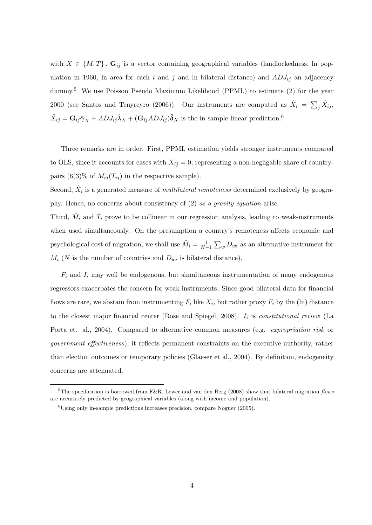with  $X \in \{M, T\}$ .  $\mathbf{G}_{ij}$  is a vector containing geographical variables (landlockedness, ln population in 1960, ln area for each i and j and ln bilateral distance) and  $ADJ_{ij}$  an adjacency dummy.<sup>5</sup> We use Poisson Pseudo Maximum Likelihood (PPML) to estimate (2) for the year 2000 (see Santos and Tenyreyro (2006)). Our instruments are computed as  $\hat{X}_i = \sum_j \hat{X}_{ij}$ ,  $\hat{X}_{ij} = G_{ij}\hat{\boldsymbol{\gamma}}_X + ADJ_{ij}\hat{\lambda}_X + (G_{ij}ADJ_{ij})\hat{\boldsymbol{\delta}}_X$  is the in-sample linear prediction.<sup>6</sup>

Three remarks are in order. First, PPML estimation yields stronger instruments compared to OLS, since it accounts for cases with  $X_{ij} = 0$ , representing a non-negligable share of countrypairs  $(6(3)\%$  of  $M_{ij}(T_{ij})$  in the respective sample).

Second,  $\hat{X}_i$  is a generated measure of *multilateral remoteness* determined exclusively by geography. Hence, no concerns about consistency of (2) as a gravity equation arise.

Third,  $\hat{M}_i$  and  $\hat{T}_i$  prove to be collinear in our regression analysis, leading to weak-instruments when used simultaneously. On the presumption a country's remoteness affects economic and psychological cost of migration, we shall use  $\tilde{M}_i = \frac{1}{N-1} \sum_w D_{wi}$  as an alternative instrument for  $M_i$  (N is the number of countries and  $D_{wi}$  is bilateral distance).

 $F_i$  and  $I_i$  may well be endogenous, but simultaneous instrumentation of many endogenous regressors exacerbates the concern for weak instruments. Since good bilateral data for financial flows are rare, we abstain from instrumenting  $F_i$  like  $X_i$ , but rather proxy  $F_i$  by the (ln) distance to the closest major financial center (Rose and Spiegel, 2008).  $I_i$  is *constitutional review* (La Porta et. al., 2004). Compared to alternative common measures (e.g. *expropriation risk* or government effectiveness), it reflects permanent constraints on the executive authority, rather than election outcomes or temporary policies (Glaeser et al., 2004). By definition, endogeneity concerns are attenuated.

<sup>&</sup>lt;sup>5</sup>The specification is borrowed from F&R. Lewer and van den Berg (2008) show that bilateral migration flows are accurately predicted by geographical variables (along with income and population).

 ${}^{6}$ Using only in-sample predictions increases precision, compare Noguer (2005).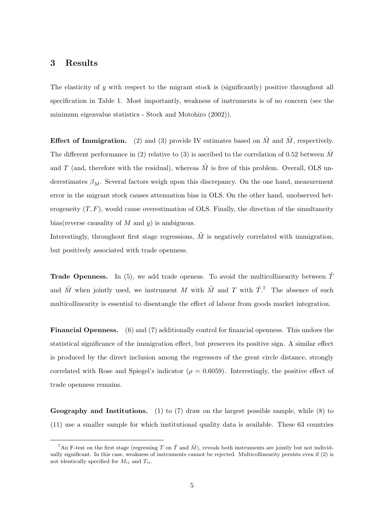#### 3 Results

The elasticity of  $\gamma$  with respect to the migrant stock is (significantly) positive throughout all specification in Table 1. Most importantly, weakness of instruments is of no concern (see the minimum eigenvalue statistics - Stock and Motohiro (2002)).

**Effect of Immigration.** (2) and (3) provide IV estimates based on  $\hat{M}$  and  $\tilde{M}$ , respectively. The different performance in (2) relative to (3) is ascribed to the correlation of 0.52 between  $\hat{M}$ and T (and, therefore with the residual), whereas  $\tilde{M}$  is free of this problem. Overall, OLS underestimates  $\beta_M$ . Several factors weigh upon this discrepancy. On the one hand, measurement error in the migrant stock causes attenuation bias in OLS. On the other hand, unobserved heterogeneity  $(T, F)$ , would cause overestimation of OLS. Finally, the direction of the simultaneity bias(reverse causality of  $M$  and  $y$ ) is ambiguous.

Interestingly, throughout first stage regressions,  $\tilde{M}$  is negatively correlated with immigration, but positively associated with trade openness.

**Trade Openness.** In (5), we add trade openess. To avoid the multicollinearity between  $\hat{T}$ and  $\hat{M}$  when jointly used, we instrument M with  $\tilde{M}$  and T with  $\hat{T}$ .<sup>7</sup> The absence of such multicollinearity is essential to disentangle the effect of labour from goods market integration.

Financial Openness. (6) and (7) additionally control for financial openness. This undoes the statistical significance of the immigration effect, but preserves its positive sign. A similar effect is produced by the direct inclusion among the regressors of the great circle distance, strongly correlated with Rose and Spiegel's indicator ( $\rho = 0.6059$ ). Interestingly, the positive effect of trade openness remains.

**Geography and Institutions.** (1) to (7) draw on the largest possible sample, while (8) to (11) use a smaller sample for which institutional quality data is available. These 63 countries

<sup>&</sup>lt;sup>7</sup>An F-test on the first stage (regressing T on  $\hat{T}$  and  $\hat{M}$ ), reveals both instruments are jointly but not individually significant. In this case, weakness of instruments cannot be rejected. Multicollinearity persists even if (2) is not identically specified for  $M_{ij}$  and  $T_{ij}$ .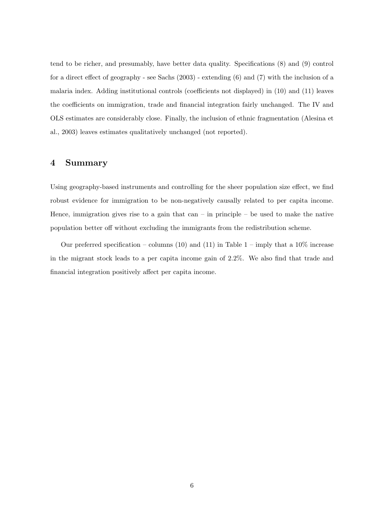tend to be richer, and presumably, have better data quality. Specifications (8) and (9) control for a direct effect of geography - see Sachs (2003) - extending (6) and (7) with the inclusion of a malaria index. Adding institutional controls (coefficients not displayed) in (10) and (11) leaves the coefficients on immigration, trade and financial integration fairly unchanged. The IV and OLS estimates are considerably close. Finally, the inclusion of ethnic fragmentation (Alesina et al., 2003) leaves estimates qualitatively unchanged (not reported).

#### 4 Summary

Using geography-based instruments and controlling for the sheer population size effect, we find robust evidence for immigration to be non-negatively causally related to per capita income. Hence, immigration gives rise to a gain that can  $-$  in principle  $-$  be used to make the native population better off without excluding the immigrants from the redistribution scheme.

Our preferred specification – columns (10) and (11) in Table  $1$  – imply that a  $10\%$  increase in the migrant stock leads to a per capita income gain of 2.2%. We also find that trade and financial integration positively affect per capita income.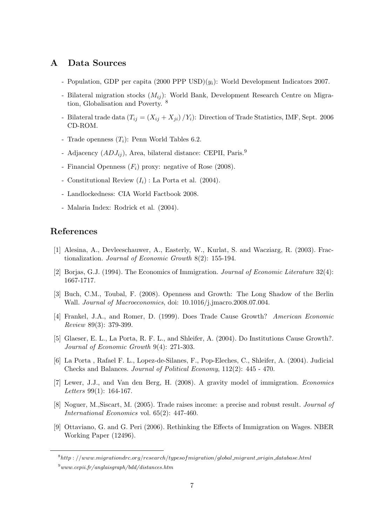## A Data Sources

- Population, GDP per capita  $(2000$  PPP USD $)(y_i)$ : World Development Indicators 2007.
- Bilateral migration stocks  $(M_{ij})$ : World Bank, Development Research Centre on Migration, Globalisation and Poverty. <sup>8</sup>
- Bilateral trade data  $(T_{ij} = (X_{ij} + X_{ji})/Y_i)$ : Direction of Trade Statistics, IMF, Sept. 2006 CD-ROM.
- Trade openness  $(T_i)$ : Penn World Tables 6.2.
- Adjacency  $(ADJ_{ij})$ , Area, bilateral distance: CEPII, Paris.<sup>9</sup>
- Financial Openness  $(F_i)$  proxy: negative of Rose (2008).
- Constitutional Review  $(I_i)$ : La Porta et al. (2004).
- Landlockedness: CIA World Factbook 2008.
- Malaria Index: Rodrick et al. (2004).

### References

- [1] Alesina, A., Devleeschauwer, A., Easterly, W., Kurlat, S. and Wacziarg, R. (2003). Fractionalization. Journal of Economic Growth 8(2): 155-194.
- [2] Borjas, G.J. (1994). The Economics of Immigration. Journal of Economic Literature 32(4): 1667-1717.
- [3] Buch, C.M., Toubal, F. (2008). Openness and Growth: The Long Shadow of the Berlin Wall. Journal of Macroeconomics, doi: 10.1016/j.jmacro.2008.07.004.
- [4] Frankel, J.A., and Romer, D. (1999). Does Trade Cause Growth? American Economic Review 89(3): 379-399.
- [5] Glaeser, E. L., La Porta, R. F. L., and Shleifer, A. (2004). Do Institutions Cause Growth?. Journal of Economic Growth 9(4): 271-303.
- [6] La Porta , Rafael F. L., Lopez-de-Silanes, F., Pop-Eleches, C., Shleifer, A. (2004). Judicial Checks and Balances. Journal of Political Economy, 112(2): 445 - 470.
- [7] Lewer, J.J., and Van den Berg, H. (2008). A gravity model of immigration. Economics Letters 99(1): 164-167.
- [8] Noguer, M.,Siscart, M. (2005). Trade raises income: a precise and robust result. Journal of International Economics vol. 65(2): 447-460.
- [9] Ottaviano, G. and G. Peri (2006). Rethinking the Effects of Immigration on Wages. NBER Working Paper (12496).

 $8$ http://www.migrationdrc.org/research/typesofmigration/global\_migrant\_origin\_database.html

 $9$ www.cepii.fr/anglaisgraph/bdd/distances.htm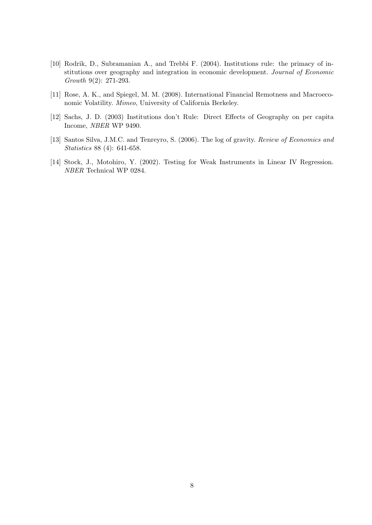- [10] Rodrik, D., Subramanian A., and Trebbi F. (2004). Institutions rule: the primacy of institutions over geography and integration in economic development. Journal of Economic Growth 9(2): 271-293.
- [11] Rose, A. K., and Spiegel, M. M. (2008). International Financial Remotness and Macroeconomic Volatility. Mimeo, University of California Berkeley.
- [12] Sachs, J. D. (2003) Institutions don't Rule: Direct Effects of Geography on per capita Income, NBER WP 9490.
- [13] Santos Silva, J.M.C. and Tenreyro, S. (2006). The log of gravity. Review of Economics and Statistics 88 (4): 641-658.
- [14] Stock, J., Motohiro, Y. (2002). Testing for Weak Instruments in Linear IV Regression. NBER Technical WP 0284.